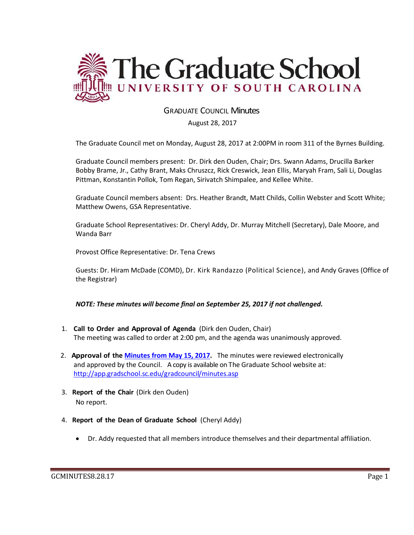

## GRADUATE COUNCIL Minutes

August 28, 2017

The Graduate Council met on Monday, August 28, 2017 at 2:00PM in room 311 of the Byrnes Building.

Graduate Council members present: Dr. Dirk den Ouden, Chair; Drs. Swann Adams, Drucilla Barker Bobby Brame, Jr., Cathy Brant, Maks Chruszcz, Rick Creswick, Jean Ellis, Maryah Fram, Sali Li, Douglas Pittman, Konstantin Pollok, Tom Regan, Sirivatch Shimpalee, and Kellee White.

Graduate Council members absent: Drs. Heather Brandt, Matt Childs, Collin Webster and Scott White; Matthew Owens, GSA Representative.

Graduate School Representatives: Dr. Cheryl Addy, Dr. Murray Mitchell (Secretary), Dale Moore, and Wanda Barr

Provost Office Representative: Dr. Tena Crews

Guests: Dr. Hiram McDade (COMD), Dr. Kirk Randazzo (Political Science), and Andy Graves (Office of the Registrar)

*NOTE: These minutes will become final on September 25, 2017 if not challenged.*

- 1. **Call to Order and Approval of Agenda** (Dirk den Ouden, Chair) The meeting was called to order at 2:00 pm, and the agenda was unanimously approved.
- 2. **Approval of the [Minutes from May](file:///C:/Users/wandab/AppData/Local/Microsoft/Windows/Temporary%20Internet%20Files/Content.Outlook/SF3AX03H/GCMINUTESMAY152017MM.pdf) 15, 2017.** The minutes were reviewed electronically and approved by the Council. A copy is available on The Graduate School website at: <http://app.gradschool.sc.edu/gradcouncil/minutes.asp>
- 3. **Report of the Chair** (Dirk den Ouden) No report.
- 4. **Report of the Dean of Graduate School** (Cheryl Addy)
	- Dr. Addy requested that all members introduce themselves and their departmental affiliation.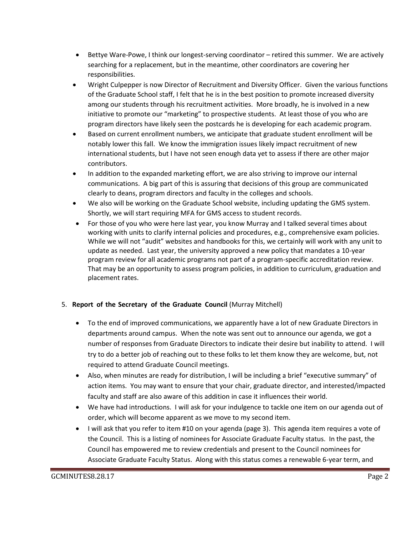- Bettye Ware-Powe, I think our longest-serving coordinator retired this summer. We are actively searching for a replacement, but in the meantime, other coordinators are covering her responsibilities.
- Wright Culpepper is now Director of Recruitment and Diversity Officer. Given the various functions of the Graduate School staff, I felt that he is in the best position to promote increased diversity among our students through his recruitment activities. More broadly, he is involved in a new initiative to promote our "marketing" to prospective students. At least those of you who are program directors have likely seen the postcards he is developing for each academic program.
- Based on current enrollment numbers, we anticipate that graduate student enrollment will be notably lower this fall. We know the immigration issues likely impact recruitment of new international students, but I have not seen enough data yet to assess if there are other major contributors.
- In addition to the expanded marketing effort, we are also striving to improve our internal communications. A big part of this is assuring that decisions of this group are communicated clearly to deans, program directors and faculty in the colleges and schools.
- We also will be working on the Graduate School website, including updating the GMS system. Shortly, we will start requiring MFA for GMS access to student records.
- For those of you who were here last year, you know Murray and I talked several times about working with units to clarify internal policies and procedures, e.g., comprehensive exam policies. While we will not "audit" websites and handbooks for this, we certainly will work with any unit to update as needed. Last year, the university approved a new policy that mandates a 10-year program review for all academic programs not part of a program-specific accreditation review. That may be an opportunity to assess program policies, in addition to curriculum, graduation and placement rates.

## 5. **Report of the Secretary of the Graduate Council** (Murray Mitchell)

- To the end of improved communications, we apparently have a lot of new Graduate Directors in departments around campus. When the note was sent out to announce our agenda, we got a number of responses from Graduate Directors to indicate their desire but inability to attend. I will try to do a better job of reaching out to these folks to let them know they are welcome, but, not required to attend Graduate Council meetings.
- Also, when minutes are ready for distribution, I will be including a brief "executive summary" of action items. You may want to ensure that your chair, graduate director, and interested/impacted faculty and staff are also aware of this addition in case it influences their world.
- We have had introductions. I will ask for your indulgence to tackle one item on our agenda out of order, which will become apparent as we move to my second item.
- I will ask that you refer to item #10 on your agenda (page 3). This agenda item requires a vote of the Council. This is a listing of nominees for Associate Graduate Faculty status. In the past, the Council has empowered me to review credentials and present to the Council nominees for Associate Graduate Faculty Status. Along with this status comes a renewable 6-year term, and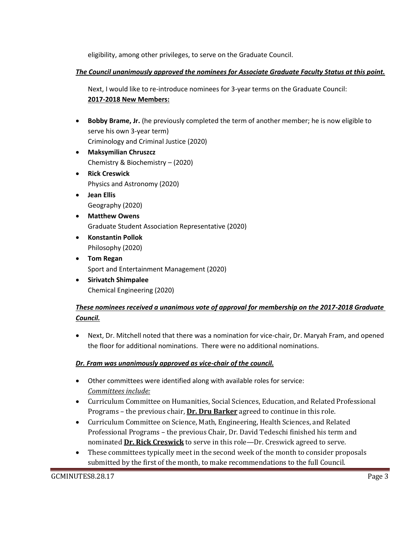eligibility, among other privileges, to serve on the Graduate Council.

## *The Council unanimously approved the nominees for Associate Graduate Faculty Status at this point.*

Next, I would like to re-introduce nominees for 3-year terms on the Graduate Council: **2017-2018 New Members:**

- **Bobby Brame, Jr.** (he previously completed the term of another member; he is now eligible to serve his own 3-year term) Criminology and Criminal Justice (2020)
- **Maksymilian Chruszcz** Chemistry & Biochemistry – (2020)
- **•** Rick Creswick Physics and Astronomy (2020)
- **Jean Ellis** Geography (2020)
- **Matthew Owens** Graduate Student Association Representative (2020)
- **Konstantin Pollok** Philosophy (2020)
- **Tom Regan** Sport and Entertainment Management (2020)
- **Sirivatch Shimpalee** Chemical Engineering (2020)

# *These nominees received a unanimous vote of approval for membership on the 2017-2018 Graduate Council.*

 Next, Dr. Mitchell noted that there was a nomination for vice-chair, Dr. Maryah Fram, and opened the floor for additional nominations. There were no additional nominations.

# *Dr. Fram was unanimously approved as vice-chair of the council.*

- Other committees were identified along with available roles for service: *Committees include:*
- Curriculum Committee on Humanities, Social Sciences, Education, and Related Professional Programs – the previous chair, **Dr. Dru Barker** agreed to continue in this role.
- Curriculum Committee on Science, Math, Engineering, Health Sciences, and Related Professional Programs – the previous Chair, Dr. David Tedeschi finished his term and nominated **Dr. Rick Creswick** to serve in this role—Dr. Creswick agreed to serve.
- These committees typically meet in the second week of the month to consider proposals submitted by the first of the month, to make recommendations to the full Council.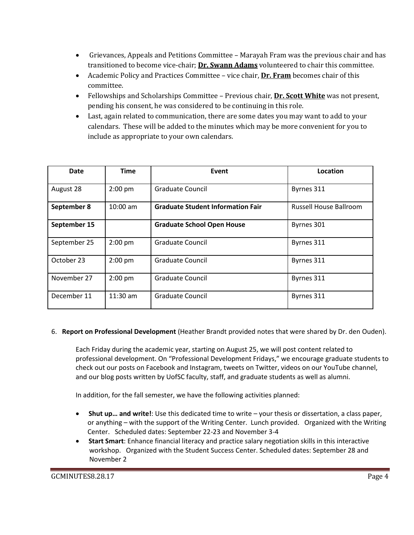- Grievances, Appeals and Petitions Committee Marayah Fram was the previous chair and has transitioned to become vice-chair; **Dr. Swann Adams** volunteered to chair this committee.
- Academic Policy and Practices Committee vice chair, **Dr. Fram** becomes chair of this committee.
- Fellowships and Scholarships Committee Previous chair, **Dr. Scott White** was not present, pending his consent, he was considered to be continuing in this role.
- Last, again related to communication, there are some dates you may want to add to your calendars. These will be added to the minutes which may be more convenient for you to include as appropriate to your own calendars.

| Date         | <b>Time</b> | Event                                    | Location                      |
|--------------|-------------|------------------------------------------|-------------------------------|
| August 28    | $2:00$ pm   | Graduate Council                         | Byrnes 311                    |
| September 8  | $10:00$ am  | <b>Graduate Student Information Fair</b> | <b>Russell House Ballroom</b> |
| September 15 |             | <b>Graduate School Open House</b>        | Byrnes 301                    |
| September 25 | $2:00$ pm   | Graduate Council                         | Byrnes 311                    |
| October 23   | $2:00$ pm   | Graduate Council                         | Byrnes 311                    |
| November 27  | $2:00$ pm   | <b>Graduate Council</b>                  | Byrnes 311                    |
| December 11  | $11:30$ am  | <b>Graduate Council</b>                  | Byrnes 311                    |

### 6. **Report on Professional Development** (Heather Brandt provided notes that were shared by Dr. den Ouden).

Each Friday during the academic year, starting on August 25, we will post content related to professional development. On "Professional Development Fridays," we encourage graduate students to check out our posts on Facebook and Instagram, tweets on Twitter, videos on our YouTube channel, and our blog posts written by UofSC faculty, staff, and graduate students as well as alumni.

In addition, for the fall semester, we have the following activities planned:

- **Shut up… and write!**: Use this dedicated time to write your thesis or dissertation, a class paper, or anything – with the support of the Writing Center. Lunch provided. Organized with the Writing Center. Scheduled dates: September 22-23 and November 3-4
- **Start Smart**: Enhance financial literacy and practice salary negotiation skills in this interactive workshop. Organized with the Student Success Center. Scheduled dates: September 28 and November 2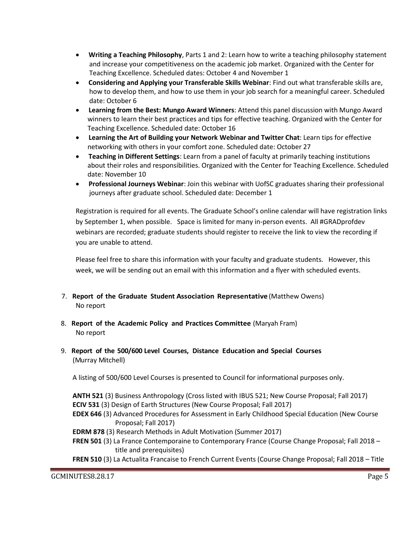- **Writing a Teaching Philosophy**, Parts 1 and 2: Learn how to write a teaching philosophy statement and increase your competitiveness on the academic job market. Organized with the Center for Teaching Excellence. Scheduled dates: October 4 and November 1
- **Considering and Applying your Transferable Skills Webinar**: Find out what transferable skills are, how to develop them, and how to use them in your job search for a meaningful career. Scheduled date: October 6
- **Learning from the Best: Mungo Award Winners**: Attend this panel discussion with Mungo Award winners to learn their best practices and tips for effective teaching. Organized with the Center for Teaching Excellence. Scheduled date: October 16
- **Learning the Art of Building your Network Webinar and Twitter Chat**: Learn tips for effective networking with others in your comfort zone. Scheduled date: October 27
- **Teaching in Different Settings**: Learn from a panel of faculty at primarily teaching institutions about their roles and responsibilities. Organized with the Center for Teaching Excellence. Scheduled date: November 10
- **Professional Journeys Webinar**: Join this webinar with UofSC graduates sharing their professional journeys after graduate school. Scheduled date: December 1

Registration is required for all events. The Graduate School's online calendar will have registration links by September 1, when possible. Space is limited for many in-person events. All #GRADprofdev webinars are recorded; graduate students should register to receive the link to view the recording if you are unable to attend.

Please feel free to share this information with your faculty and graduate students. However, this week, we will be sending out an email with this information and a flyer with scheduled events.

- 7. **Report of the Graduate Student Association Representative** (Matthew Owens) No report
- 8. **Report of the Academic Policy and Practices Committee** (Maryah Fram) No report
- 9. **Report of the 500/600 Level Courses, Distance Education and Special Courses** (Murray Mitchell)

A listing of 500/600 Level Courses is presented to Council for informational purposes only.

**ANTH 521** (3) Business Anthropology (Cross listed with IBUS 521; New Course Proposal; Fall 2017) **ECIV 531** (3) Design of Earth Structures (New Course Proposal; Fall 2017)

- **EDEX 646** (3) Advanced Procedures for Assessment in Early Childhood Special Education (New Course Proposal; Fall 2017)
- **EDRM 878** (3) Research Methods in Adult Motivation (Summer 2017)
- **FREN 501** (3) La France Contemporaine to Contemporary France (Course Change Proposal; Fall 2018 title and prerequisites)
- **FREN 510** (3) La Actualita Francaise to French Current Events (Course Change Proposal; Fall 2018 Title

GCMINUTES8.28.17 Page 5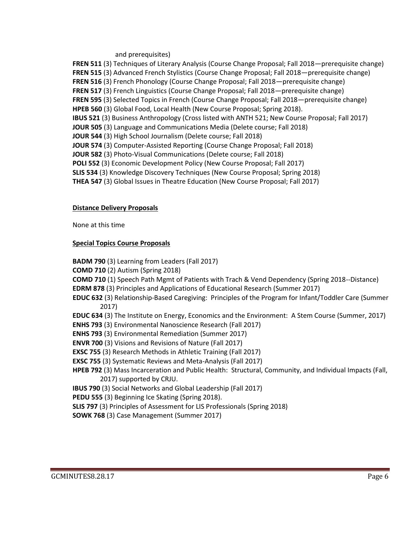#### and prerequisites)

**FREN 511** (3) Techniques of Literary Analysis (Course Change Proposal; Fall 2018—prerequisite change) **FREN 515** (3) Advanced French Stylistics (Course Change Proposal; Fall 2018—prerequisite change) FREN 516 (3) French Phonology (Course Change Proposal; Fall 2018—prerequisite change) **FREN 517** (3) French Linguistics (Course Change Proposal; Fall 2018—prerequisite change) **FREN 595** (3) Selected Topics in French (Course Change Proposal; Fall 2018—prerequisite change) **HPEB 560** (3) Global Food, Local Health (New Course Proposal; Spring 2018). **IBUS 521** (3) Business Anthropology (Cross listed with ANTH 521; New Course Proposal; Fall 2017) **JOUR 505** (3) Language and Communications Media (Delete course; Fall 2018) **JOUR 544** (3) High School Journalism (Delete course; Fall 2018) **JOUR 574** (3) Computer-Assisted Reporting (Course Change Proposal; Fall 2018) **JOUR 582** (3) Photo-Visual Communications (Delete course; Fall 2018) **POLI 552** (3) Economic Development Policy (New Course Proposal; Fall 2017) **SLIS 534** (3) Knowledge Discovery Techniques (New Course Proposal; Spring 2018) **THEA 547** (3) Global Issues in Theatre Education (New Course Proposal; Fall 2017)

### **Distance Delivery Proposals**

None at this time

### **Special Topics Course Proposals**

**BADM 790** (3) Learning from Leaders (Fall 2017) **COMD 710** (2) Autism (Spring 2018) **COMD 710** (1) Speech Path Mgmt of Patients with Trach & Vend Dependency (Spring 2018--Distance) **EDRM 878** (3) Principles and Applications of Educational Research (Summer 2017) **EDUC 632** (3) Relationship-Based Caregiving: Principles of the Program for Infant/Toddler Care (Summer 2017) **EDUC 634** (3) The Institute on Energy, Economics and the Environment: A Stem Course (Summer, 2017) **ENHS 793** (3) Environmental Nanoscience Research (Fall 2017) **ENHS 793** (3) Environmental Remediation (Summer 2017) **ENVR 700** (3) Visions and Revisions of Nature (Fall 2017) **EXSC 755** (3) Research Methods in Athletic Training (Fall 2017) **EXSC 755** (3) Systematic Reviews and Meta-Analysis (Fall 2017) **HPEB 792** (3) Mass Incarceration and Public Health: Structural, Community, and Individual Impacts (Fall, 2017) supported by CRJU. **IBUS 790** (3) Social Networks and Global Leadership (Fall 2017) **PEDU 555** (3) Beginning Ice Skating (Spring 2018). **SLIS 797** (3) Principles of Assessment for LIS Professionals (Spring 2018) **SOWK 768** (3) Case Management (Summer 2017)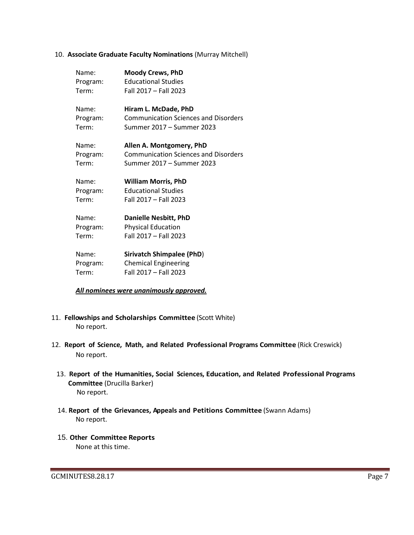#### 10. **Associate Graduate Faculty Nominations** (Murray Mitchell)

| Name:    | <b>Moody Crews, PhD</b>                     |
|----------|---------------------------------------------|
| Program: | <b>Educational Studies</b>                  |
| Term:    | Fall 2017 - Fall 2023                       |
| Name:    | Hiram L. McDade, PhD                        |
| Program: | <b>Communication Sciences and Disorders</b> |
| Term:    | Summer 2017 - Summer 2023                   |
| Name:    | Allen A. Montgomery, PhD                    |
| Program: | <b>Communication Sciences and Disorders</b> |
| Term:    | Summer 2017 - Summer 2023                   |
| Name:    | <b>William Morris, PhD</b>                  |
| Program: | <b>Educational Studies</b>                  |
| Term:    | Fall 2017 - Fall 2023                       |
| Name:    | <b>Danielle Nesbitt, PhD</b>                |
| Program: | <b>Physical Education</b>                   |
| Term:    | Fall 2017 - Fall 2023                       |
| Name:    | <b>Sirivatch Shimpalee (PhD)</b>            |
| Program: | <b>Chemical Engineering</b>                 |
| Term:    | Fall 2017 - Fall 2023                       |

#### *All nominees were unanimously approved.*

- 11. **Fellowships and Scholarships Committee** (Scott White) No report.
- 12. **Report of Science, Math, and Related Professional Programs Committee** (Rick Creswick) No report.
	- 13. **Report of the Humanities, Social Sciences, Education, and Related Professional Programs Committee** (Drucilla Barker) No report.
	- 14. **Report of the Grievances, Appeals and Petitions Committee** (Swann Adams) No report.
	- 15. **Other Committee Reports** None at this time.